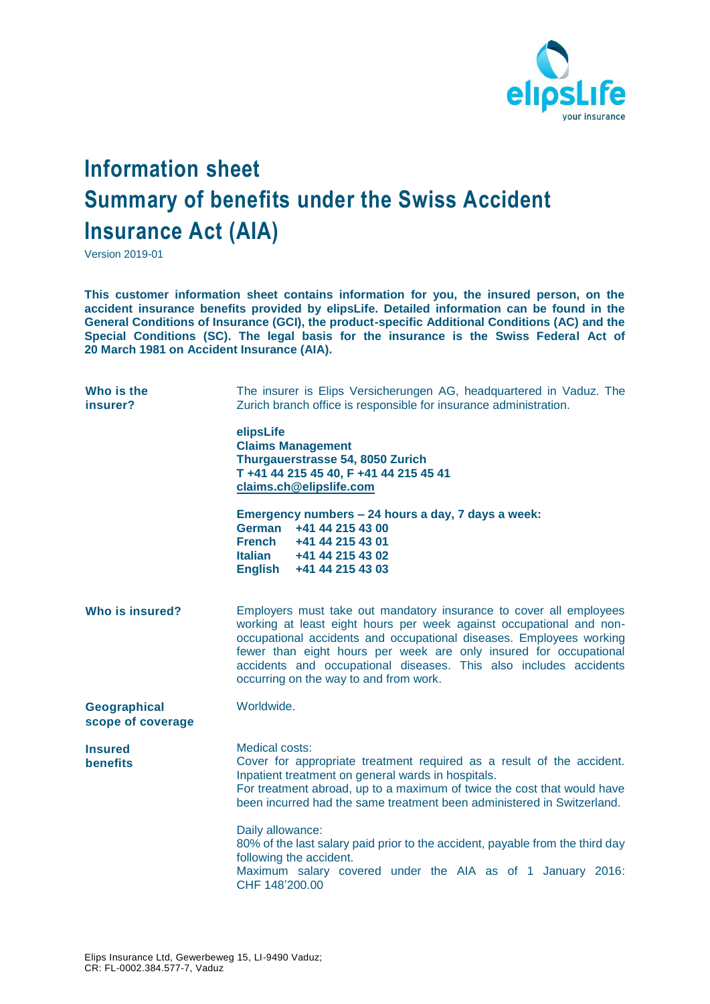

## **Information sheet Summary of benefits under the Swiss Accident Insurance Act (AIA)**

Version 2019-01

**This customer information sheet contains information for you, the insured person, on the accident insurance benefits provided by elipsLife. Detailed information can be found in the General Conditions of Insurance (GCI), the product-specific Additional Conditions (AC) and the Special Conditions (SC). The legal basis for the insurance is the Swiss Federal Act of 20 March 1981 on Accident Insurance (AIA).**

| Who is the<br>insurer?            | The insurer is Elips Versicherungen AG, headquartered in Vaduz. The<br>Zurich branch office is responsible for insurance administration.                                                                                                                                                                                                                                                             |
|-----------------------------------|------------------------------------------------------------------------------------------------------------------------------------------------------------------------------------------------------------------------------------------------------------------------------------------------------------------------------------------------------------------------------------------------------|
|                                   | elipsLife<br><b>Claims Management</b><br>Thurgauerstrasse 54, 8050 Zurich<br>T +41 44 215 45 40, F +41 44 215 45 41<br>claims.ch@elipslife.com                                                                                                                                                                                                                                                       |
|                                   | Emergency numbers - 24 hours a day, 7 days a week:<br>German<br>+41 44 215 43 00<br><b>French</b><br>+41 44 215 43 01<br>Italian +41 44 215 43 02<br>English +41 44 215 43 03                                                                                                                                                                                                                        |
| Who is insured?                   | Employers must take out mandatory insurance to cover all employees<br>working at least eight hours per week against occupational and non-<br>occupational accidents and occupational diseases. Employees working<br>fewer than eight hours per week are only insured for occupational<br>accidents and occupational diseases. This also includes accidents<br>occurring on the way to and from work. |
| Geographical<br>scope of coverage | Worldwide.                                                                                                                                                                                                                                                                                                                                                                                           |
| <b>Insured</b><br><b>benefits</b> | Medical costs:<br>Cover for appropriate treatment required as a result of the accident.<br>Inpatient treatment on general wards in hospitals.<br>For treatment abroad, up to a maximum of twice the cost that would have<br>been incurred had the same treatment been administered in Switzerland.                                                                                                   |
|                                   | Daily allowance:<br>80% of the last salary paid prior to the accident, payable from the third day<br>following the accident.<br>Maximum salary covered under the AIA as of 1 January 2016:<br>CHF 148'200.00                                                                                                                                                                                         |